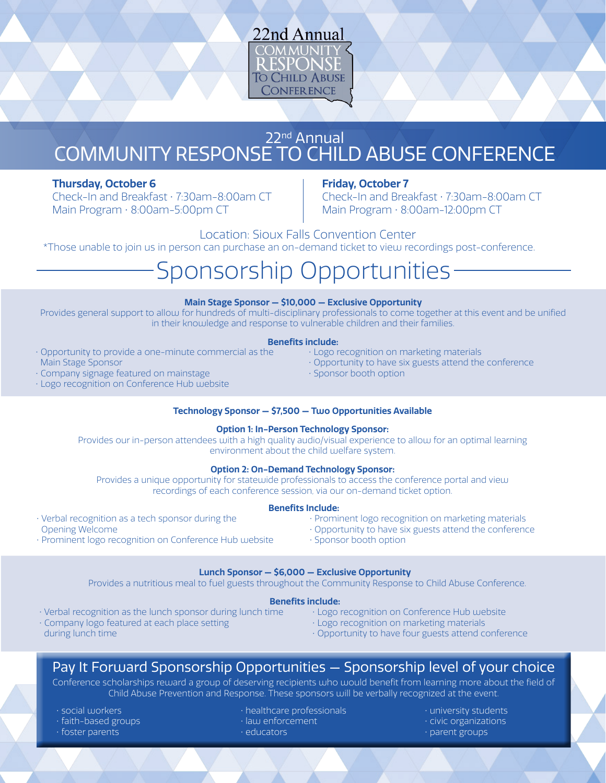

# 22nd Annual COMMUNITY RESPONSE TO CHILD ABUSE CONFERENCE

### **Thursday, October 6**

Check-In and Breakfast • 7:30am-8:00am CT Main Program • 8:00am-5:00pm CT

#### **Friday, October 7**

Check-In and Breakfast • 7:30am-8:00am CT Main Program • 8:00am-12:00pm CT

Location: Sioux Falls Convention Center \*Those unable to join us in person can purchase an on-demand ticket to view recordings post-conference.

# Sponsorship Opportunities

#### **Main Stage Sponsor — \$10,000 — Exclusive Opportunity**

Provides general support to allow for hundreds of multi-disciplinary professionals to come together at this event and be unified in their knowledge and response to vulnerable children and their families.

#### • Logo recognition on marketing materials **Benefits include:**

- Opportunity to provide a one-minute commercial as the Main Stage Sponsor
- Company signage featured on mainstage
- Logo recognition on Conference Hub website

#### **Technology Sponsor — \$7,500 — Two Opportunities Available**

#### **Option 1: In-Person Technology Sponsor:**

Provides our in-person attendees with a high quality audio/visual experience to allow for an optimal learning environment about the child welfare system.

#### **Option 2: On-Demand Technology Sponsor:**

Provides a unique opportunity for statewide professionals to access the conference portal and view recordings of each conference session, via our on-demand ticket option.

- Verbal recognition as a tech sponsor during the Opening Welcome
- Prominent logo recognition on Conference Hub website
- Prominent logo recognition on marketing materials

• Opportunity to have six guests attend the conference

- Opportunity to have six guests attend the conference
- Sponsor booth option

#### **Lunch Sponsor — \$6,000 — Exclusive Opportunity**

Provides a nutritious meal to fuel guests throughout the Community Response to Child Abuse Conference.

- Verbal recognition as the lunch sponsor during lunch time • Company logo featured at each place setting
- during lunch time
- Logo recognition on Conference Hub website
- Logo recognition on marketing materials
- Opportunity to have four guests attend conference

## Pay It Forward Sponsorship Opportunities — Sponsorship level of your choice

Conference scholarships reward a group of deserving recipients who would benefit from learning more about the field of Child Abuse Prevention and Response. These sponsors will be verbally recognized at the event.

- social workers
- faith-based groups
- foster parents
- healthcare professionals
- law enforcement
	- educators

• university students • civic organizations • parent groups

- 
- 
- 
- **Benefits Include:**
- 
- 

• Sponsor booth option

**Benefits include:**